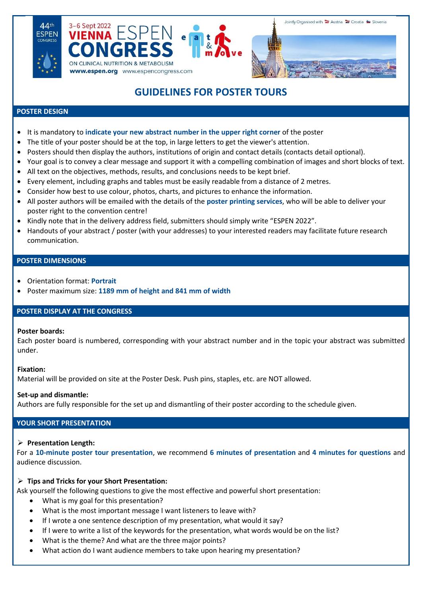





# **GUIDELINES FOR POSTER TOURS**

#### **POSTER DESIGN**

- It is mandatory to **indicate your new abstract number in the upper right corner** of the poster
- The title of your poster should be at the top, in large letters to get the viewer's attention.
- Posters should then display the authors, institutions of origin and contact details (contacts detail optional).
- Your goal is to convey a clear message and support it with a compelling combination of images and short blocks of text.
- All text on the objectives, methods, results, and conclusions needs to be kept brief.
- Every element, including graphs and tables must be easily readable from a distance of 2 metres.
- Consider how best to use colour, photos, charts, and pictures to enhance the information.
- All poster authors will be emailed with the details of the **poster printing services**, who will be able to deliver your poster right to the convention centre!
- Kindly note that in the delivery address field, submitters should simply write "ESPEN 2022".
- Handouts of your abstract / poster (with your addresses) to your interested readers may facilitate future research communication.

#### **POSTER DIMENSIONS**

- Orientation format: **Portrait**
- Poster maximum size: **1189 mm of height and 841 mm of width**

#### **POSTER DISPLAY AT THE CONGRESS**

#### **Poster boards:**

Each poster board is numbered, corresponding with your abstract number and in the topic your abstract was submitted under.

#### **Fixation:**

Material will be provided on site at the Poster Desk. Push pins, staples, etc. are NOT allowed.

#### **Set-up and dismantle:**

Authors are fully responsible for the set up and dismantling of their poster according to the schedule given.

# **YOUR SHORT PRESENTATION**

#### ➢ **Presentation Length:**

For a **10-minute poster tour presentation**, we recommend **6 minutes of presentation** and **4 minutes for questions** and audience discussion.

#### ➢ **Tips and Tricks for your Short Presentation:**

Ask yourself the following questions to give the most effective and powerful short presentation:

- What is my goal for this presentation?
- What is the most important message I want listeners to leave with?
- If I wrote a one sentence description of my presentation, what would it say?
- If I were to write a list of the keywords for the presentation, what words would be on the list?
- What is the theme? And what are the three major points?
- What action do I want audience members to take upon hearing my presentation?